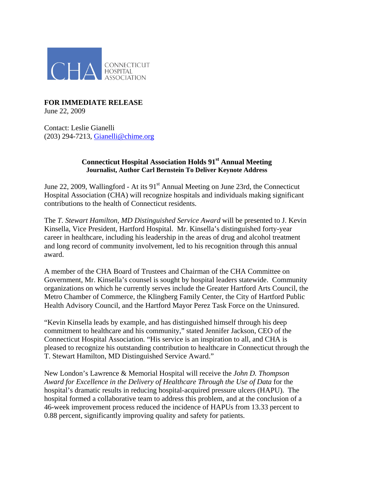

## **FOR IMMEDIATE RELEASE**

June 22, 2009

Contact: Leslie Gianelli (203) 294-7213, Gianelli@chime.org

## **Connecticut Hospital Association Holds 91st Annual Meeting Journalist, Author Carl Bernstein To Deliver Keynote Address**

June 22, 2009, Wallingford - At its  $91<sup>st</sup>$  Annual Meeting on June 23rd, the Connecticut Hospital Association (CHA) will recognize hospitals and individuals making significant contributions to the health of Connecticut residents.

The *T. Stewart Hamilton, MD Distinguished Service Award* will be presented to J. Kevin Kinsella, Vice President, Hartford Hospital. Mr. Kinsella's distinguished forty-year career in healthcare, including his leadership in the areas of drug and alcohol treatment and long record of community involvement, led to his recognition through this annual award.

A member of the CHA Board of Trustees and Chairman of the CHA Committee on Government, Mr. Kinsella's counsel is sought by hospital leaders statewide. Community organizations on which he currently serves include the Greater Hartford Arts Council, the Metro Chamber of Commerce, the Klingberg Family Center, the City of Hartford Public Health Advisory Council, and the Hartford Mayor Perez Task Force on the Uninsured.

"Kevin Kinsella leads by example, and has distinguished himself through his deep commitment to healthcare and his community," stated Jennifer Jackson, CEO of the Connecticut Hospital Association. "His service is an inspiration to all, and CHA is pleased to recognize his outstanding contribution to healthcare in Connecticut through the T. Stewart Hamilton, MD Distinguished Service Award."

New London's Lawrence & Memorial Hospital will receive the *John D. Thompson Award for Excellence in the Delivery of Healthcare Through the Use of Data* for the hospital's dramatic results in reducing hospital-acquired pressure ulcers (HAPU). The hospital formed a collaborative team to address this problem, and at the conclusion of a 46-week improvement process reduced the incidence of HAPUs from 13.33 percent to 0.88 percent, significantly improving quality and safety for patients.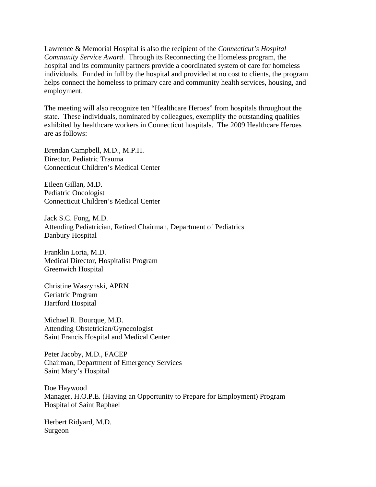Lawrence & Memorial Hospital is also the recipient of the *Connecticut's Hospital Community Service Award*. Through its Reconnecting the Homeless program, the hospital and its community partners provide a coordinated system of care for homeless individuals. Funded in full by the hospital and provided at no cost to clients, the program helps connect the homeless to primary care and community health services, housing, and employment.

The meeting will also recognize ten "Healthcare Heroes" from hospitals throughout the state. These individuals, nominated by colleagues, exemplify the outstanding qualities exhibited by healthcare workers in Connecticut hospitals. The 2009 Healthcare Heroes are as follows:

Brendan Campbell, M.D., M.P.H. Director, Pediatric Trauma Connecticut Children's Medical Center

Eileen Gillan, M.D. Pediatric Oncologist Connecticut Children's Medical Center

Jack S.C. Fong, M.D. Attending Pediatrician, Retired Chairman, Department of Pediatrics Danbury Hospital

Franklin Loria, M.D. Medical Director, Hospitalist Program Greenwich Hospital

Christine Waszynski, APRN Geriatric Program Hartford Hospital

Michael R. Bourque, M.D. Attending Obstetrician/Gynecologist Saint Francis Hospital and Medical Center

Peter Jacoby, M.D., FACEP Chairman, Department of Emergency Services Saint Mary's Hospital

Doe Haywood Manager, H.O.P.E. (Having an Opportunity to Prepare for Employment) Program Hospital of Saint Raphael

Herbert Ridyard, M.D. Surgeon